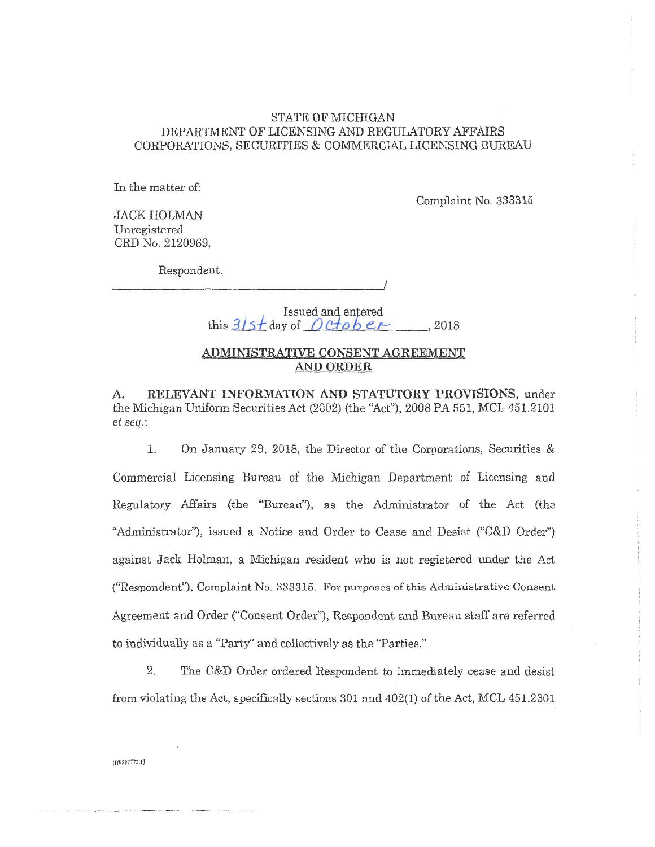#### STATE OF MICHIGAN DEPARTMENT OF LICENSING AND REGULATORY AFFAIRS CORPORATIONS, SECURITIES & COMMERCIAL LICENSING BUREAU

In the matter of:

Complaint No. 333315

JACK HOLMAN Unregistered CRD No. 2120969,

Respondent.

*\_\_\_\_\_\_\_\_\_\_\_\_\_\_\_\_\_\_ \_\_,!* 

Issued and entered this  $3/5$ *f* day of  $Det$ , 2018

# **ADMINISTRATIVE CONSENT AGREEMENT AND ORDER**

**A. RELEVANT INFORMATION AND STATUTORY PROVISIONS,** under the Michigan Uniform Securities Act (2002) (the "Act"), 2008 PA 551, MCL 451.2101 *et seq.:* 

1. On January 29, 2018, the Director of the Corporations, Securities & Commercial Licensing Bureau of the Michigan Department of Licensing and Regulatory Affairs (the "Bureau"), as the Administrator of the Act (the "Administrator"), issued a Notice and Order to Cease and Desist ("C&D Order") against Jack Holman, a Michigan resident who is not registered under the Act ("Respondent"), Complaint No. 333315. For purposes of this Administrative Consent Agreement and Order ("Consent Order"), Respondent and Bureau staff are referred ta individually as a "Party" and co1lectively as the ''Parties.''

2. The C&D Order ordered Respondent to immediately cease and desist from violating the Act, specifically sections 301 and 402(1) of the Act, MCL 451.2301

110587772.11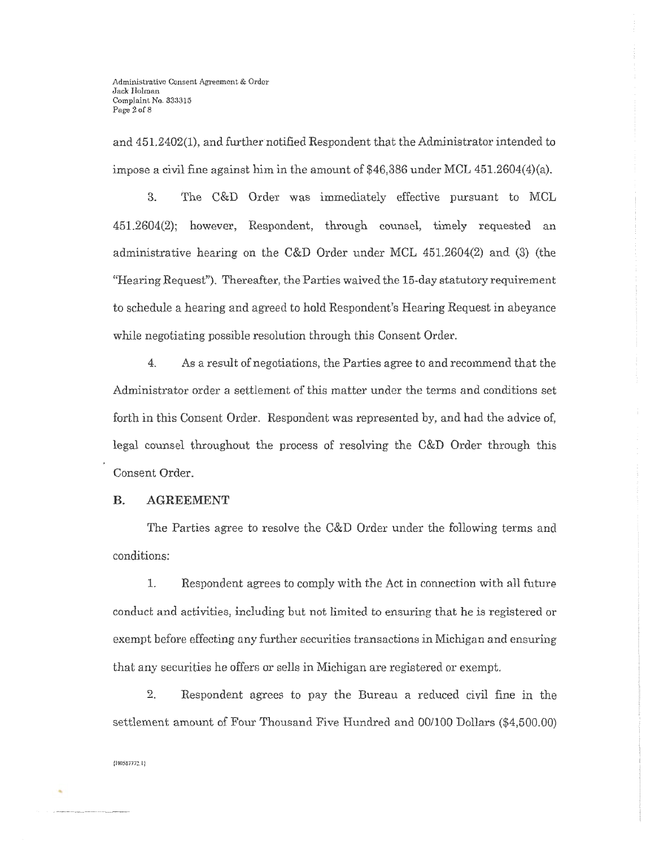and 451.2402(1), and further notified Respondent that the Administrator intended to impose a civil fine against him in the amount of  $$46,386$  under MCL  $451.2604(4)(a)$ .

3. The C&D Order was immediately effective pursuant to MCL 451.2604(2); however, Respondent, through counsel, timely requested an administrative hearing on the C&D Order under MCL 451.2604(2) and (3) (the "Hearing Request"). Thereafter, the Parties waived the 15-day statutory requirement to schedule a hearing and agreed to hold Respondent's Hearing Request in abeyance while negotiating possible resolution through this Consent Order.

4. As a result of negotiations, the Parties agree to and recommend that the Administrator order a settlement of this matter under the terms and conditions set forth in this Consent Order. Respondent was represented by, and had the advice of, legal counsel throughout the process of resolving the C&D Order through this Consent Order.

#### **B. AGREEMENT**

The Parties agree to resolve the C&D Order under the following terms and conditions:

L Respondent agrees to comply with the Act in connection with all future conduct and activities, including but not limited to ensuring that he is registered or exempt before effecting any further securities transactions in Michigan and ensuring that any securities he offers or sells in Michigan are registered or exempt.

2. Respondent agrees to pay the Bureau a reduced civil fine in the settlement amount of Four Thousand Five Hundred and 00/100 Dollars (\$4,500.00)

**{nos:rnn.1 1** 

..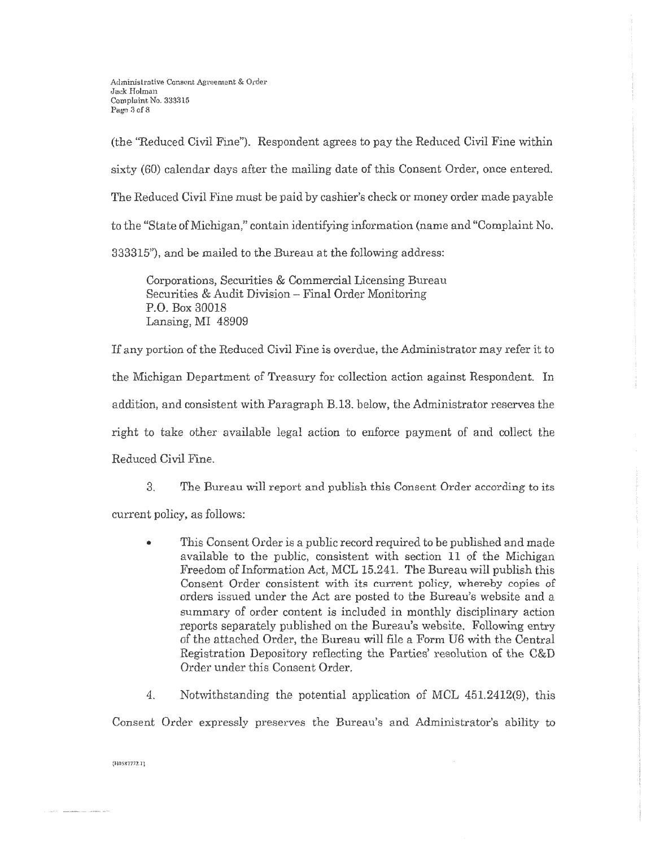(the "Reduced Civil Fine"). Respondent agrees to pay the Reduced Civil Fine within sixty (60) calendar days after the mailing date of this Consent Order, once entered. The Reduced Civil Fine must be paid by cashier's check or money order made payable to the "State of Michigan," contain identifying information (name and "Complaint No. 333315"), and be mailed to the Bureau at the following address:

Corporations, Securities & Commercial Licensing Bureau Securities & Audit Division - Final Order Monitoring P.O. Box 30018 Lansing, MI 48909

If any portion of the Reduced Civil Fine is overdue, the Administrator may refer it to the Michigan Department of Treasury for collection action against Respondent. In addition, and consistent with Paragraph  $B.13$ , below, the Administrator reserves the right to take other available legal action to enforce payment of and collect the Reduced Civil Fine.

3. The Bureau will report and publish this Consent Order according to its

current policy, as follows:

- This Consent Order is a public record required to be published and made available to the public, consistent with section 11 of the Michigan Freedom of Information Act, MCL 15.241. The Bureau will publish this Consent Order consistent with its current policy, whereby copies of orders issued under the Act are posted to the Bureau's website and a summary of order content is included in monthly disciplinary action reports separately published on the Bureau's website. Following entry of the attached Order, the Bureau will file a Form U6 with the Central Registration Depository reflecting the Parties' resolution of the C&D Order under this Consent Order.
- 4. Notwithstanding the potential application of MCL 451.2412(9), this

Consent Order expressly preserves the Bureau's and Administrator's ability to

 ${10587772.1}$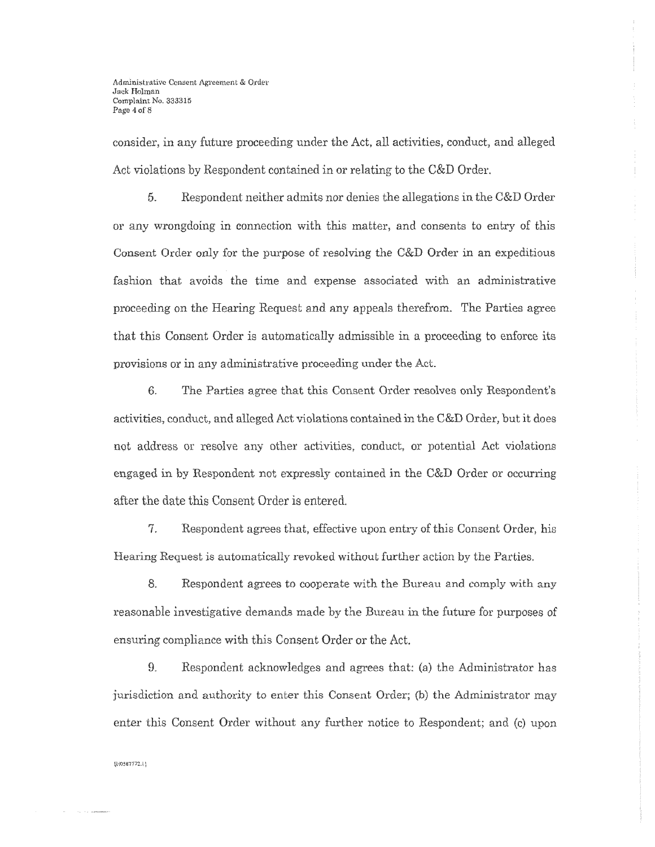consider, in any future proceeding under the Act, all activities, conduct, and alleged Act violations by Respondent contained in or relating to the C&D Order.

5. Respondent neither admits nor denies the allegations in the C&D Order or any wrongdoing in connection with this matter, and consents to entry of this Consent Order only for the purpose of resolving the C&D Order in an expeditious fashion that avoids the time and expense associated with an administrative proceeding on the Hearing Request and any appeals therefrom. The Parties agree that this Consent Order is automatically admissible in a proceeding to enforce its provisions or in any administrative proceeding under the Act.

6. The Parties agree that this Consent Order resolves only Respondent's activities, conduct, and alleged Act violations contained in the C&D Order, but it does not address or resolve any other activities, conduct, or potential Act violations engaged in by Respondent not expressly contained in the C&D Order or occurring after the date this Consent Order is entered.

7. Respondent agrees that, effective upon entry of this Consent Order, his Hearing Request is automatically revoked without further action by the Parties.

8. Respondent agrees to cooperate with the Bureau and comply with any reasonable investigative demands made by the Bureau in the future for purposes of ensuring compliance with this Consent Order or the Act.

9. Respondent acknowledges and agrees that: (a) the Administrator has jurisdiction and authority *to* enter this Consent Order; (b) the Administrator may enter this Consent Order without any further notice to Respondent; and (c) upon

**tU05S7172. l)**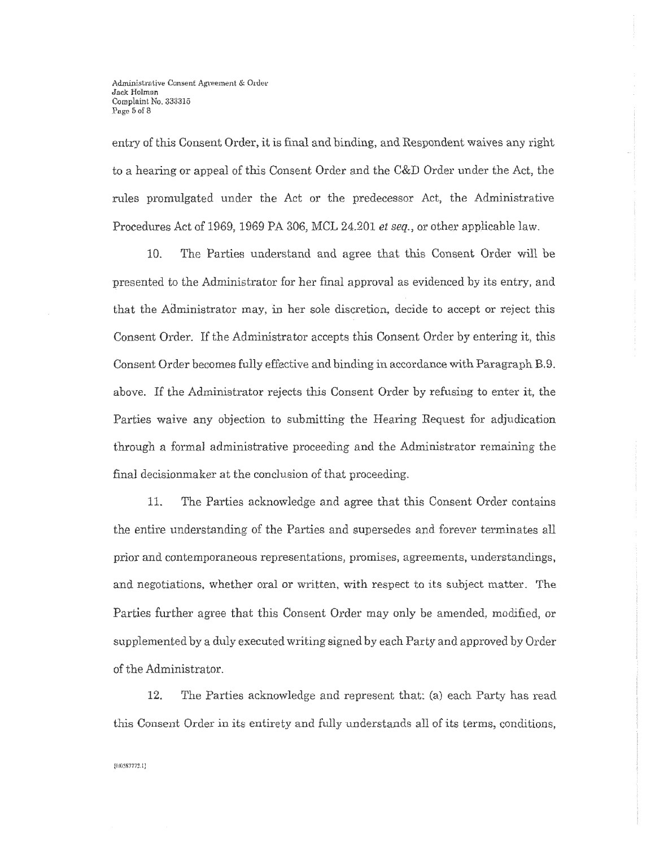Administrative Consent Agreement & Order Jack Holman Complaint No. 333315 Page 5 of 8

entry of this Consent Order, it is final and binding, and Respondent waives any right to a hearing or appeal of this Consent Order and the C&D Order under the Act, the rules promulgated under the Act or the predecessor Act, the Administrative Procedures Act of 1969, 1969 PA 306, MCL 24.201 *et seq.,* or other applicable law.

10. The Parties understand and agree that this Consent Order will be :presented to the Administrator for her final approval as evidenced by its entry, and that the Administrator may, in her sole discretion, decide to accept or reject this Consent Order. If the Administrator accepts this Consent Order by entering it, this Consent Order becomes fully effective and binding in accordance with Paragraph B.9. above. If the Administrator rejects this Consent Order by refusing to enter it, the Parties waive any objection to submitting the Hearing Request for adjudication through a formal administrative proceeding and the Administrator remaining the final decisionmaker at the conclusion of that proceeding.

11. The Parties acknowledge and agree that this Consent Order contains the entire understanding of the Parties and supersedes and forever terminates all prior and contemporaneous representations, promises, agreements, understandings, and negotiations, whether oral or written, with respect to its subject matter. The Parties further agree that this Consent Order may only be amended, modified, or supplemented by a duly executed writing signed by each Party and approved by Order of the Administrator.

12. The Parties acknowledge and represent that: (a) each Party has reacl this Consent Order in its entirety and fully understands all of its terms, conditions,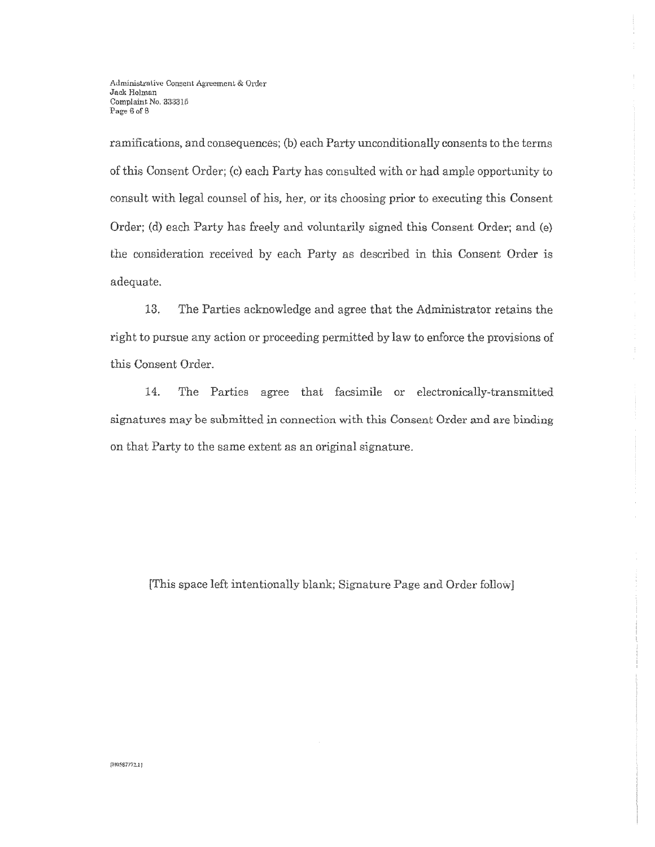ramifications, and consequences; (b) each Party unconditionally consents to the terms of this Consent Order; (c) each Party has consulted with or had ample opportunity to consult with legal counsel of his, her, or its choosing prior to executing this Consent Order; (d) each Party has freely and voluntarily signed this Consent Order; and (e) the consideration received by each Party as described in this Consent Order is adequate.

13. The Parties acknowledge and agree that the Administrator retains the right to pursue any action or proceeding permitted by law to enforce the provisions of this Consent Order.

14. The Parties agree that facsimile or electronically-transmitted signatures may be submitted in connection with this Consent Order and are binding on that Party to the same extent as an original signature.

[This space left intentionally blank; Signature Page and Order follow]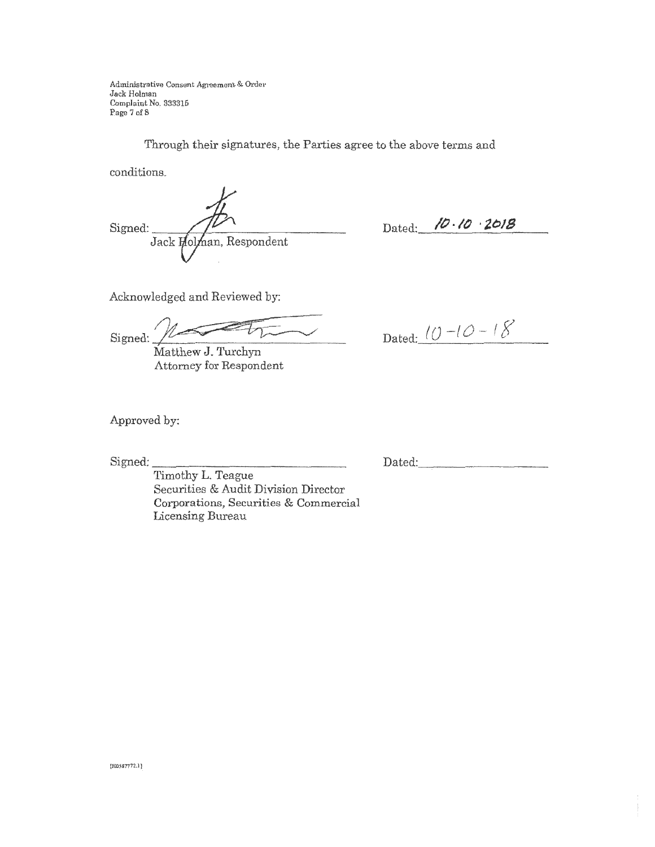Administrative Consent Agreement & Order Jack Holman Complaint No. 333315 Page 7 of 8

Through their signatures, the Parties agree to the above terms and

conditions.

Signed:  $\sqrt{V}$ Jack

Dated: **/D** · *lO* · **2018** 

Dated:  $(0 -10 -18)$ 

Acknowledged and Reviewed by:

Ar Signed:  $\frac{1}{2}$ 

Matthew J. Turchyn Attorney for Respondent

Approved by:

Signed:

Dated: \_\_\_\_\_\_\_\_ \_

Timothy L. Teague Securities & Audit Division Director Corporations, Securities & Commercial Licensing Bureau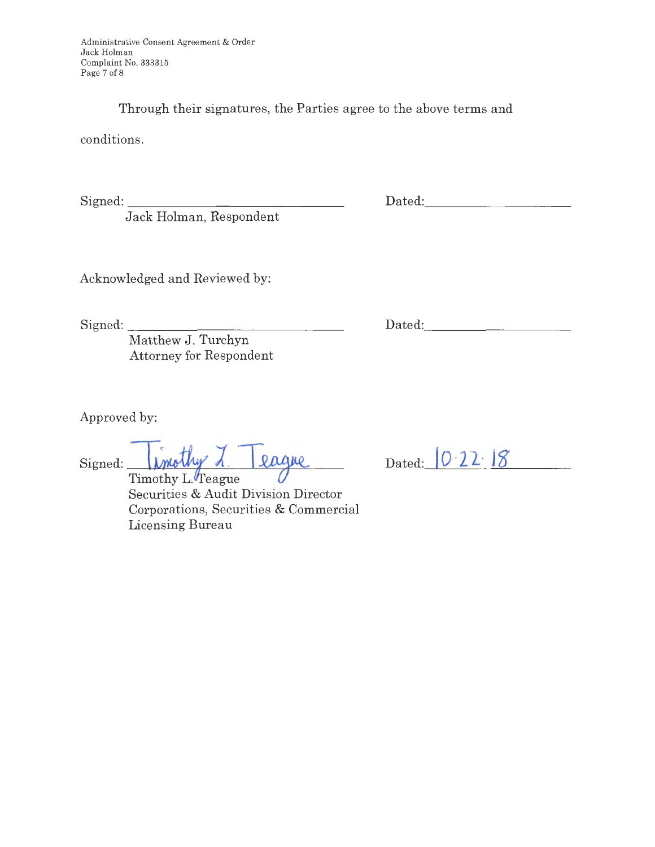Through their signatures, the Parties agree to the above terms and

conditions.

Signed:

Jack Holman, Respondent

Dated:

Acknowledged and Reviewed by:

Signed: \_\_\_\_\_\_\_\_\_\_\_\_\_\_\_ \_

Dated:

Matthew J. Turchyn Attorney for Respondent

Approved by:

 $Signed:$  *xnothy 1. 2ague* 

Timothy L. Teague Securities & Audit Division Director Corporations, Securities & Commercial Licensing Bureau

| Dated: $0.22.18$ |  |
|------------------|--|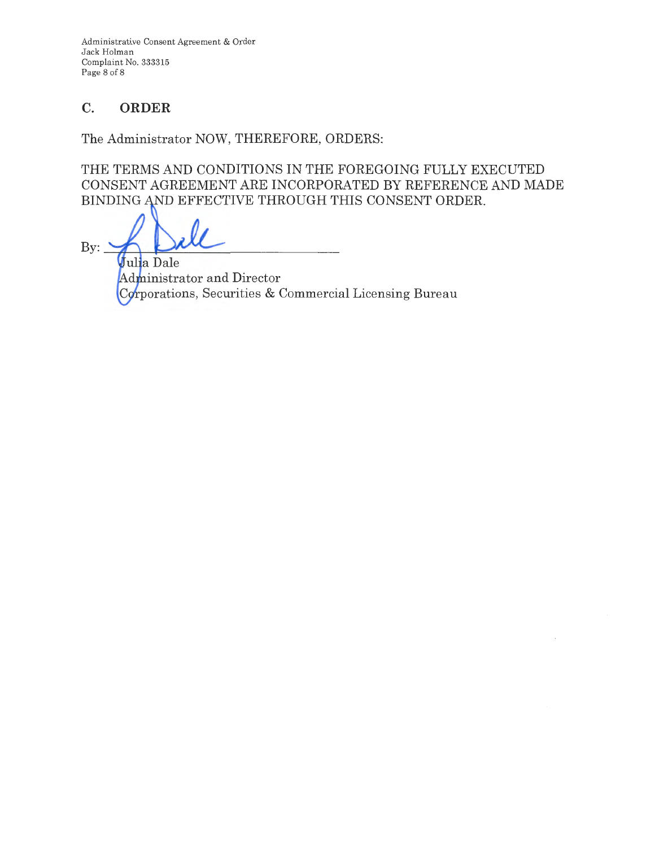Administrative Consent Agreement & Order Jack Holman Complaint No. 333315 Page 8 of 8

# **C. ORDER**

The Administrator NOW, THEREFORE, ORDERS:

THE TERMS AND CONDITIONS IN THE FOREGOING FULLY EXECUTED CONSENT AGREEMENT ARE INCORPORATED BY REFERENCE AND MADE BINDING AND EFFECTIVE THROUGH THIS CONSENT ORDER.

 $\mathbf{By:}$ 

Julia Dale Administrator and Director Corporations, Securities & Commercial Licensing Bureau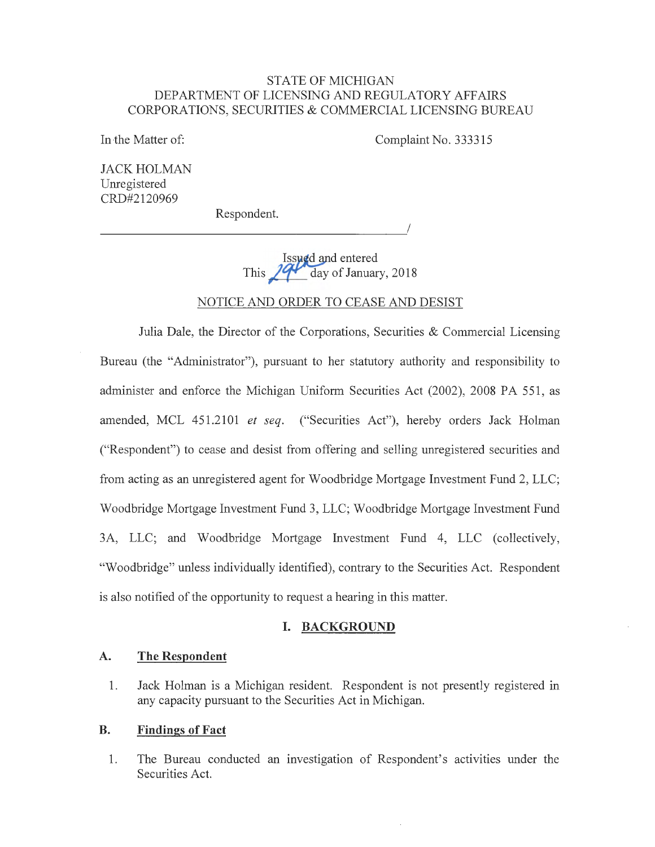#### STATE OF MICHIGAN DEPARTMENT OF LICENSING AND REGULATORY AFFAIRS CORPORATIONS, SECURITIES & COMMERCIAL LICENSING BUREAU

In the Matter of:

Complaint No. 333315

JACK HOLMAN Umegistered CRD#2120969

Respondent.

 $\overline{1}$ 

**Issued and entered** This  $\sqrt{q}$  day of January, 2018

# NOTICE AND ORDER TO CEASE AND DESIST

Julia Dale, the Director of the Corporations, Securities & Commercial Licensing Bureau (the "Administrator"), pursuant to her statutory authority and responsibility to administer and enforce the Michigan Uniform Securities Act (2002), 2008 PA 551, as amended, MCL 451.2101 *et seq.* ("Securities Act"), hereby orders Jack Holman ("Respondent") to cease and desist from offering and selling umegistered securities and from acting as an umegistered agent for Woodbridge Mortgage Investment Fund 2, LLC; Woodbridge Mortgage Investment Fund 3, LLC; Woodbridge Mortgage Investment Fund 3A, LLC; and Woodbridge Mortgage Investment Fund 4, LLC (collectively, "Woodbridge" unless individually identified), contrary to the Securities Act. Respondent is also notified of the opportunity to request a hearing in this matter.

## **I. BACKGROUND**

## **A. The Respondent**

1. Jack Holman is a Michigan resident. Respondent is not presently registered in any capacity pursuant to the Securities Act in Michigan.

# **B. Findings of Fact**

1. The Bureau conducted an investigation of Respondent's activities under the Securities Act.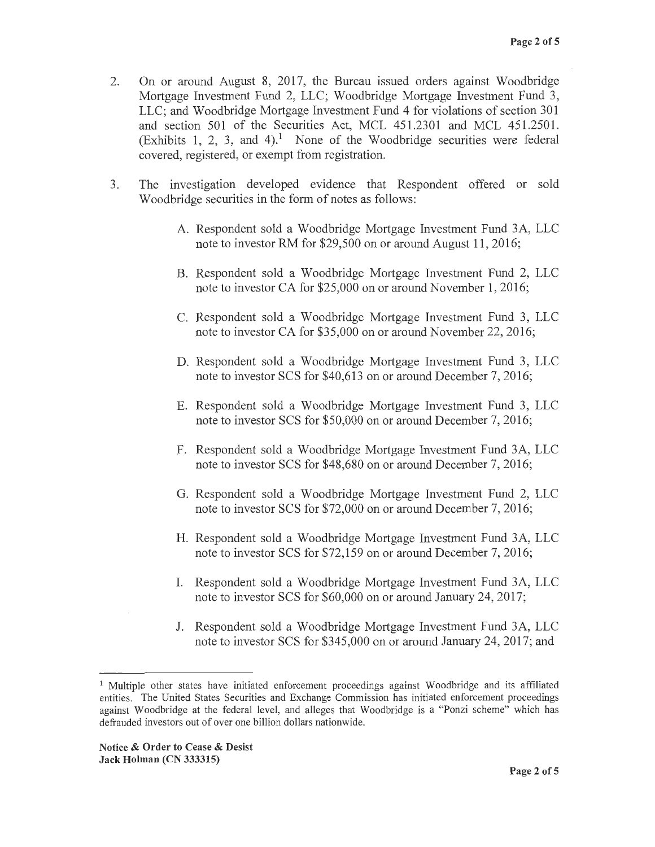- 2. On or around August 8, 2017, the Bureau issued orders against Woodbridge Mortgage Investment Fund 2, LLC; Woodbridge Mortgage Investment Fund 3, LLC; and Woodbridge Mortgage Investment Fund 4 for violations of section 301 and section 501 of the Securities Act, MCL 451.2301 and MCL 451.2501. (Exhibits 1, 2, 3, and 4).<sup>1</sup> None of the Woodbridge securities were federal covered, registered, or exempt from registration.
- 3. The investigation developed evidence that Respondent offered or sold Woodbridge securities in the form of notes as follows:
	- A. Respondent sold a Woodbridge Mortgage Investment Fund 3A, LLC note to investor RM for \$29,500 on or around August 11, 2016;
	- B. Respondent sold a Woodbridge Mortgage Investment Fund 2, LLC note to investor CA for \$25,000 on or around November 1, 2016;
	- C. Respondent sold a Woodbridge Mortgage Investment Fund 3, LLC note to investor CA for \$35,000 on or around November 22, 2016;
	- D. Respondent sold a Woodbridge Mortgage Investment Fund 3, LLC note to investor SCS for \$40,613 on or around December 7, 2016;
	- E. Respondent sold a Woodbridge Mortgage Investment Fund 3, LLC note to investor SCS for \$50,000 on or around December 7, 2016;
	- F. Respondent sold a Woodbridge Mortgage Investment Fund 3A, LLC note to investor SCS for \$48,680 on or around December 7, 2016;
	- G. Respondent sold a Woodbridge Mortgage Investment Fund 2, LLC note to investor SCS for \$72,000 on or around December 7, 2016;
	- H. Respondent sold a Woodbridge Mortgage Investment Fund 3A, LLC note to investor SCS for \$72,159 on or around December 7, 2016;
	- I. Respondent sold a Woodbridge Mortgage Investment Fund 3A, LLC note to investor SCS for \$60,000 on or around January 24, 2017;
	- J. Respondent sold a Woodbridge Mortgage Investment Fund 3A, LLC note to investor SCS for \$345,000 on or around January 24, 2017; and

<sup>&</sup>lt;sup>1</sup> Multiple other states have initiated enforcement proceedings against Woodbridge and its affiliated entities. The United States Securities and Exchange Commission has initiated enforcement proceedings against Woodbridge at the federal level, and alleges that Woodbridge is a "Ponzi scheme" which has defrauded investors out of over one billion dollars nationwide.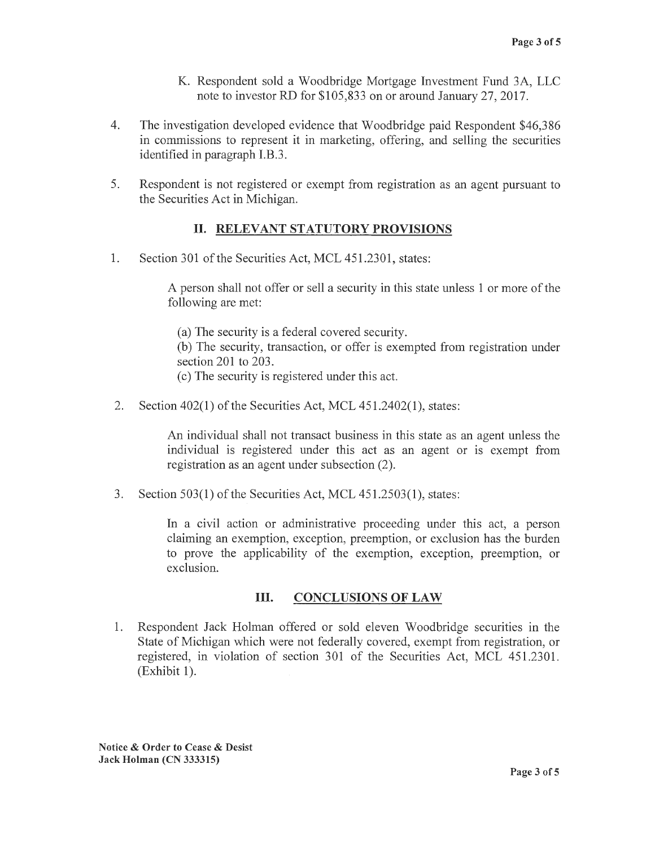- **K.** Respondent sold a Woodbridge Mortgage Investment Fund 3A, LLC note to investor RD for \$105,833 on or around January 27, 2017.
- 4. The investigation developed evidence that Woodbridge paid Respondent \$46,386 in commissions to represent it in marketing, offering, and selling the securities identified in paragraph I.B.3.
- 5. Respondent is not registered or exempt from registration as an agent pursuant to the Securities Act in Michigan.

# II. **RELEVANT STATUTORY PROVISIONS**

1. Section 301 of the Securities Act, MCL 451.2301, states:

A person shall not offer or sell a security in this state unless 1 or more of the following are met:

(a) The security is a federal covered security.

(b) The security, transaction, or offer is exempted from registration under section 201 to 203.

- ( c) The security is registered under this act.
- 2. Section 402(1) of the Securities Act, MCL 451.2402(1), states:

An individual shall not transact business in this state as an agent unless the individual is registered under this act as an agent or is exempt from registration as an agent under subsection (2).

3. Section 503(1) of the Securities Act, MCL 451.2503(1), states:

In a civil action or administrative proceeding under this act, a person claiming an exemption, exception, preemption, or exclusion has the burden to prove the applicability of the exemption, exception, preemption, or exclusion.

# III. **CONCLUSIONS OF LAW**

1. Respondent Jack Holman offered or sold eleven Woodbridge securities in the State of Michigan which were not federally covered, exempt from registration, or registered, in violation of section 301 of the Securities Act, MCL 451.2301.  $(Exhibit 1).$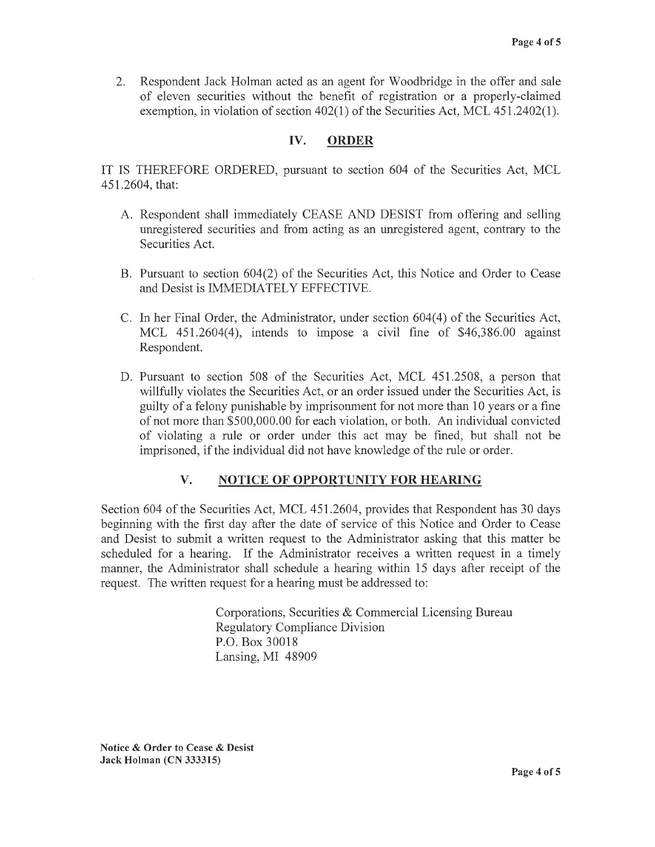2. Respondent Jack Holman acted as an agent for Woodbridge in the offer and sale of eleven securities without the benefit of registration or a properly-claimed exemption, in violation of section 402(1) of the Securities Act, MCL 451.2402(1).

# **IV. ORDER**

IT IS THEREFORE ORDERED, pursuant to section 604 of the Securities Act, MCL 451.2604, that:

- A. Respondent shall immediately CEASE AND DESIST from offering and selling unregistered securities and from acting as an unregistered agent, contrary to the Securities Act.
- B. Pursuant to section  $604(2)$  of the Securities Act, this Notice and Order to Cease and Desist is IMMEDIATELY EFFECTIVE.
- C. In her Final Order, the Administrator, under section 604(4) of the Securities Act, MCL 451.2604(4), intends to impose a civil fine of \$46,386.00 against Respondent.
- D. Pursuant to section 508 of the Securities Act, MCL 451.2508, a person that willfully violates the Securities Act, or an order issued under the Securities Act, is guilty of a felony punishable by imprisonment for not more than 10 years or a fine of not more than \$500,000.00 for each violation, or both. An individual convicted of violating a rule or order under this act may be fined, but shall not be imprisoned, if the individual did not have knowledge of the rule or order.

# **V. NOTICE OF OPPORTUNITY FOR HEARING**

Section 604 of the Securities Act, MCL 451.2604, provides that Respondent has 30 days beginning with the first day after the date of service of this Notice and Order to Cease and Desist to submit a written request to the Administrator asking that this matter be scheduled for a hearing. If the Administrator receives a written request in a timely manner, the Administrator shall schedule a hearing within 15 days after receipt of the request. The written request for a hearing must be addressed to:

> Corporations, Securities & Commercial Licensing Bureau Regulatory Compliance Division P.O. Box 30018 Lansing, MI 48909

**Notice** & **Order to Cease** & **Desist Jack Holman (CN 333315)**